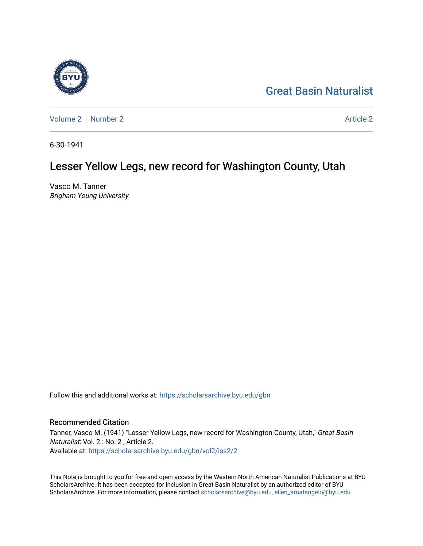## [Great Basin Naturalist](https://scholarsarchive.byu.edu/gbn)



[Volume 2](https://scholarsarchive.byu.edu/gbn/vol2) | [Number 2](https://scholarsarchive.byu.edu/gbn/vol2/iss2) Article 2

6-30-1941

## Lesser Yellow Legs, new record for Washington County, Utah

Vasco M. Tanner Brigham Young University

Follow this and additional works at: [https://scholarsarchive.byu.edu/gbn](https://scholarsarchive.byu.edu/gbn?utm_source=scholarsarchive.byu.edu%2Fgbn%2Fvol2%2Fiss2%2F2&utm_medium=PDF&utm_campaign=PDFCoverPages) 

## Recommended Citation

Tanner, Vasco M. (1941) "Lesser Yellow Legs, new record for Washington County, Utah," Great Basin Naturalist: Vol. 2 : No. 2 , Article 2. Available at: [https://scholarsarchive.byu.edu/gbn/vol2/iss2/2](https://scholarsarchive.byu.edu/gbn/vol2/iss2/2?utm_source=scholarsarchive.byu.edu%2Fgbn%2Fvol2%2Fiss2%2F2&utm_medium=PDF&utm_campaign=PDFCoverPages) 

This Note is brought to you for free and open access by the Western North American Naturalist Publications at BYU ScholarsArchive. It has been accepted for inclusion in Great Basin Naturalist by an authorized editor of BYU ScholarsArchive. For more information, please contact [scholarsarchive@byu.edu, ellen\\_amatangelo@byu.edu.](mailto:scholarsarchive@byu.edu,%20ellen_amatangelo@byu.edu)